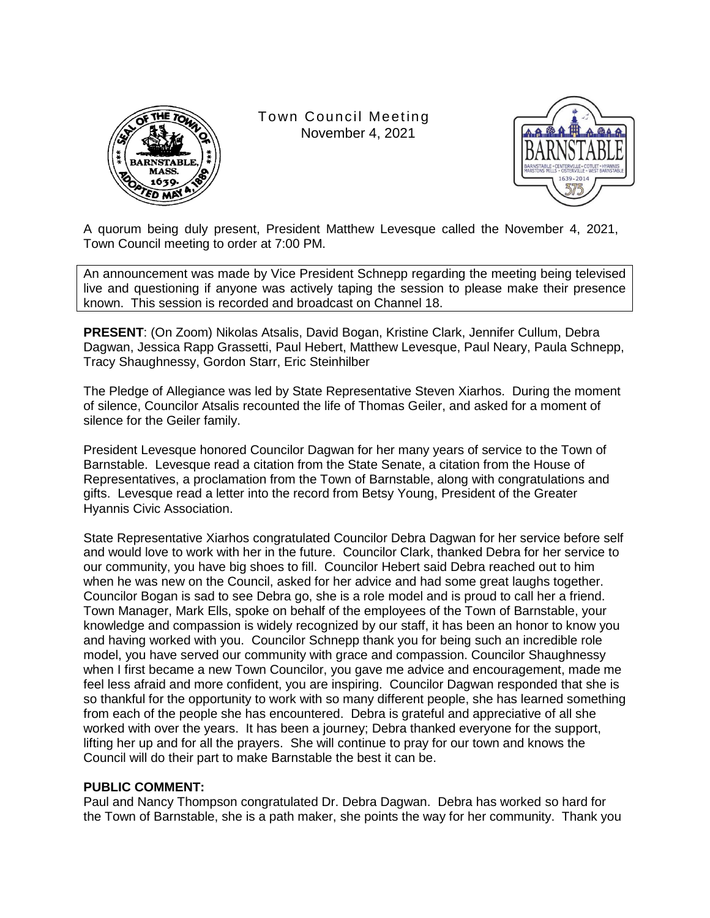

Town Council Meeting November 4, 2021



A quorum being duly present, President Matthew Levesque called the November 4, 2021, Town Council meeting to order at 7:00 PM.

An announcement was made by Vice President Schnepp regarding the meeting being televised live and questioning if anyone was actively taping the session to please make their presence known. This session is recorded and broadcast on Channel 18.

**PRESENT**: (On Zoom) Nikolas Atsalis, David Bogan, Kristine Clark, Jennifer Cullum, Debra Dagwan, Jessica Rapp Grassetti, Paul Hebert, Matthew Levesque, Paul Neary, Paula Schnepp, Tracy Shaughnessy, Gordon Starr, Eric Steinhilber

The Pledge of Allegiance was led by State Representative Steven Xiarhos. During the moment of silence, Councilor Atsalis recounted the life of Thomas Geiler, and asked for a moment of silence for the Geiler family.

President Levesque honored Councilor Dagwan for her many years of service to the Town of Barnstable. Levesque read a citation from the State Senate, a citation from the House of Representatives, a proclamation from the Town of Barnstable, along with congratulations and gifts. Levesque read a letter into the record from Betsy Young, President of the Greater Hyannis Civic Association.

State Representative Xiarhos congratulated Councilor Debra Dagwan for her service before self and would love to work with her in the future. Councilor Clark, thanked Debra for her service to our community, you have big shoes to fill. Councilor Hebert said Debra reached out to him when he was new on the Council, asked for her advice and had some great laughs together. Councilor Bogan is sad to see Debra go, she is a role model and is proud to call her a friend. Town Manager, Mark Ells, spoke on behalf of the employees of the Town of Barnstable, your knowledge and compassion is widely recognized by our staff, it has been an honor to know you and having worked with you. Councilor Schnepp thank you for being such an incredible role model, you have served our community with grace and compassion. Councilor Shaughnessy when I first became a new Town Councilor, you gave me advice and encouragement, made me feel less afraid and more confident, you are inspiring. Councilor Dagwan responded that she is so thankful for the opportunity to work with so many different people, she has learned something from each of the people she has encountered. Debra is grateful and appreciative of all she worked with over the years. It has been a journey; Debra thanked everyone for the support, lifting her up and for all the prayers. She will continue to pray for our town and knows the Council will do their part to make Barnstable the best it can be.

## **PUBLIC COMMENT:**

Paul and Nancy Thompson congratulated Dr. Debra Dagwan. Debra has worked so hard for the Town of Barnstable, she is a path maker, she points the way for her community. Thank you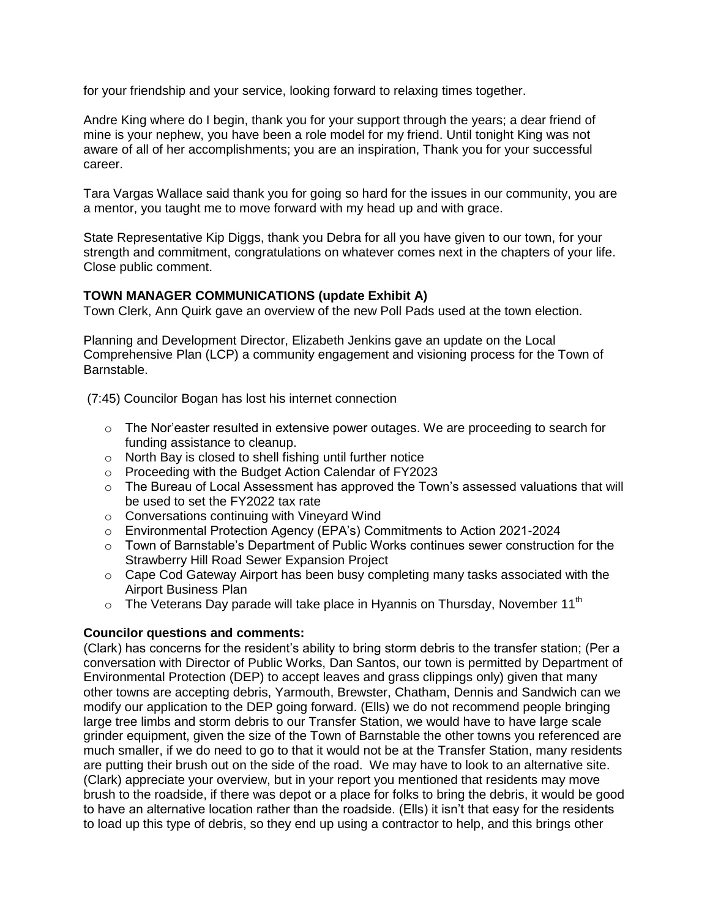for your friendship and your service, looking forward to relaxing times together.

Andre King where do I begin, thank you for your support through the years; a dear friend of mine is your nephew, you have been a role model for my friend. Until tonight King was not aware of all of her accomplishments; you are an inspiration, Thank you for your successful career.

Tara Vargas Wallace said thank you for going so hard for the issues in our community, you are a mentor, you taught me to move forward with my head up and with grace.

State Representative Kip Diggs, thank you Debra for all you have given to our town, for your strength and commitment, congratulations on whatever comes next in the chapters of your life. Close public comment.

# **TOWN MANAGER COMMUNICATIONS (update Exhibit A)**

Town Clerk, Ann Quirk gave an overview of the new Poll Pads used at the town election.

Planning and Development Director, Elizabeth Jenkins gave an update on the Local Comprehensive Plan (LCP) a community engagement and visioning process for the Town of Barnstable.

(7:45) Councilor Bogan has lost his internet connection

- $\circ$  The Nor'easter resulted in extensive power outages. We are proceeding to search for funding assistance to cleanup.
- o North Bay is closed to shell fishing until further notice
- o Proceeding with the Budget Action Calendar of FY2023
- $\circ$  The Bureau of Local Assessment has approved the Town's assessed valuations that will be used to set the FY2022 tax rate
- o Conversations continuing with Vineyard Wind
- o Environmental Protection Agency (EPA's) Commitments to Action 2021-2024
- $\circ$  Town of Barnstable's Department of Public Works continues sewer construction for the Strawberry Hill Road Sewer Expansion Project
- $\circ$  Cape Cod Gateway Airport has been busy completing many tasks associated with the Airport Business Plan
- $\circ$  The Veterans Day parade will take place in Hyannis on Thursday, November 11<sup>th</sup>

## **Councilor questions and comments:**

(Clark) has concerns for the resident's ability to bring storm debris to the transfer station; (Per a conversation with Director of Public Works, Dan Santos, our town is permitted by Department of Environmental Protection (DEP) to accept leaves and grass clippings only) given that many other towns are accepting debris, Yarmouth, Brewster, Chatham, Dennis and Sandwich can we modify our application to the DEP going forward. (Ells) we do not recommend people bringing large tree limbs and storm debris to our Transfer Station, we would have to have large scale grinder equipment, given the size of the Town of Barnstable the other towns you referenced are much smaller, if we do need to go to that it would not be at the Transfer Station, many residents are putting their brush out on the side of the road. We may have to look to an alternative site. (Clark) appreciate your overview, but in your report you mentioned that residents may move brush to the roadside, if there was depot or a place for folks to bring the debris, it would be good to have an alternative location rather than the roadside. (Ells) it isn't that easy for the residents to load up this type of debris, so they end up using a contractor to help, and this brings other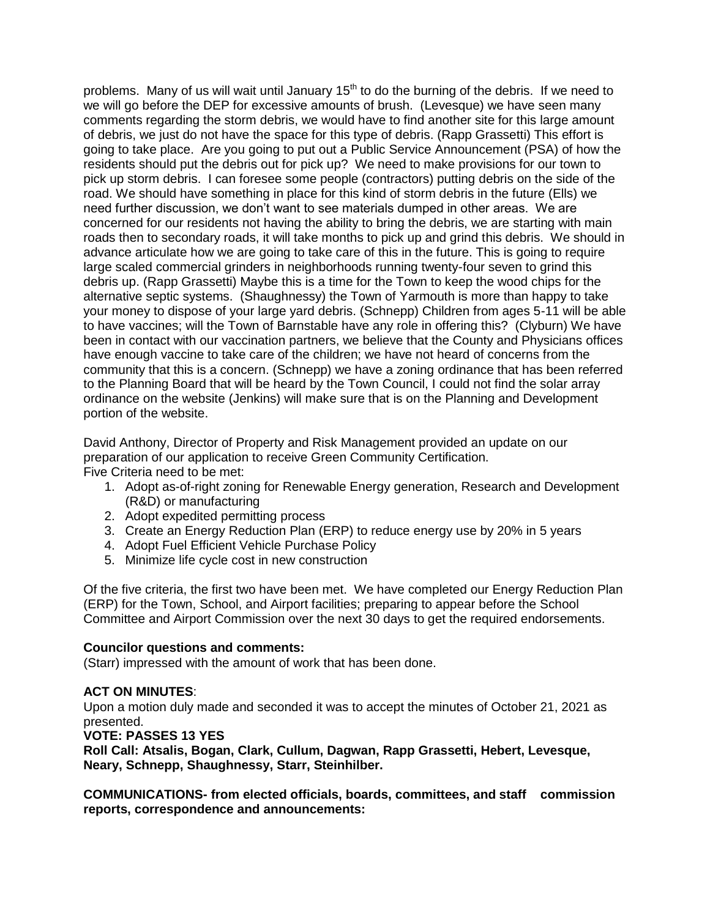problems. Many of us will wait until January  $15<sup>th</sup>$  to do the burning of the debris. If we need to we will go before the DEP for excessive amounts of brush. (Levesque) we have seen many comments regarding the storm debris, we would have to find another site for this large amount of debris, we just do not have the space for this type of debris. (Rapp Grassetti) This effort is going to take place. Are you going to put out a Public Service Announcement (PSA) of how the residents should put the debris out for pick up? We need to make provisions for our town to pick up storm debris. I can foresee some people (contractors) putting debris on the side of the road. We should have something in place for this kind of storm debris in the future (Ells) we need further discussion, we don't want to see materials dumped in other areas. We are concerned for our residents not having the ability to bring the debris, we are starting with main roads then to secondary roads, it will take months to pick up and grind this debris. We should in advance articulate how we are going to take care of this in the future. This is going to require large scaled commercial grinders in neighborhoods running twenty-four seven to grind this debris up. (Rapp Grassetti) Maybe this is a time for the Town to keep the wood chips for the alternative septic systems. (Shaughnessy) the Town of Yarmouth is more than happy to take your money to dispose of your large yard debris. (Schnepp) Children from ages 5-11 will be able to have vaccines; will the Town of Barnstable have any role in offering this? (Clyburn) We have been in contact with our vaccination partners, we believe that the County and Physicians offices have enough vaccine to take care of the children; we have not heard of concerns from the community that this is a concern. (Schnepp) we have a zoning ordinance that has been referred to the Planning Board that will be heard by the Town Council, I could not find the solar array ordinance on the website (Jenkins) will make sure that is on the Planning and Development portion of the website.

David Anthony, Director of Property and Risk Management provided an update on our preparation of our application to receive Green Community Certification. Five Criteria need to be met:

- 1. Adopt as-of-right zoning for Renewable Energy generation, Research and Development (R&D) or manufacturing
- 2. Adopt expedited permitting process
- 3. Create an Energy Reduction Plan (ERP) to reduce energy use by 20% in 5 years
- 4. Adopt Fuel Efficient Vehicle Purchase Policy
- 5. Minimize life cycle cost in new construction

Of the five criteria, the first two have been met. We have completed our Energy Reduction Plan (ERP) for the Town, School, and Airport facilities; preparing to appear before the School Committee and Airport Commission over the next 30 days to get the required endorsements.

## **Councilor questions and comments:**

(Starr) impressed with the amount of work that has been done.

# **ACT ON MINUTES**:

Upon a motion duly made and seconded it was to accept the minutes of October 21, 2021 as presented.

**VOTE: PASSES 13 YES**

**Roll Call: Atsalis, Bogan, Clark, Cullum, Dagwan, Rapp Grassetti, Hebert, Levesque, Neary, Schnepp, Shaughnessy, Starr, Steinhilber.**

**COMMUNICATIONS- from elected officials, boards, committees, and staff commission reports, correspondence and announcements:**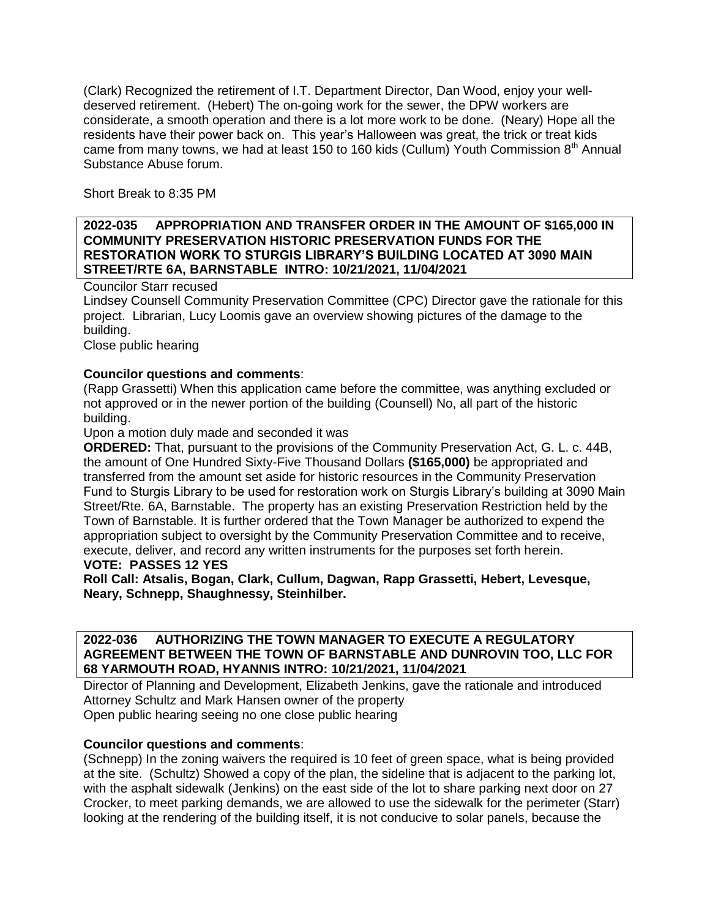(Clark) Recognized the retirement of I.T. Department Director, Dan Wood, enjoy your welldeserved retirement. (Hebert) The on-going work for the sewer, the DPW workers are considerate, a smooth operation and there is a lot more work to be done. (Neary) Hope all the residents have their power back on. This year's Halloween was great, the trick or treat kids came from many towns, we had at least 150 to 160 kids (Cullum) Youth Commission  $8<sup>th</sup>$  Annual Substance Abuse forum.

Short Break to 8:35 PM

# **2022-035 APPROPRIATION AND TRANSFER ORDER IN THE AMOUNT OF \$165,000 IN COMMUNITY PRESERVATION HISTORIC PRESERVATION FUNDS FOR THE RESTORATION WORK TO STURGIS LIBRARY'S BUILDING LOCATED AT 3090 MAIN STREET/RTE 6A, BARNSTABLE INTRO: 10/21/2021, 11/04/2021**

Councilor Starr recused

Lindsey Counsell Community Preservation Committee (CPC) Director gave the rationale for this project. Librarian, Lucy Loomis gave an overview showing pictures of the damage to the building.

Close public hearing

## **Councilor questions and comments**:

(Rapp Grassetti) When this application came before the committee, was anything excluded or not approved or in the newer portion of the building (Counsell) No, all part of the historic building.

Upon a motion duly made and seconded it was

**ORDERED:** That, pursuant to the provisions of the Community Preservation Act, G. L. c. 44B, the amount of One Hundred Sixty-Five Thousand Dollars **(\$165,000)** be appropriated and transferred from the amount set aside for historic resources in the Community Preservation Fund to Sturgis Library to be used for restoration work on Sturgis Library's building at 3090 Main Street/Rte. 6A, Barnstable. The property has an existing Preservation Restriction held by the Town of Barnstable. It is further ordered that the Town Manager be authorized to expend the appropriation subject to oversight by the Community Preservation Committee and to receive, execute, deliver, and record any written instruments for the purposes set forth herein.

#### **VOTE: PASSES 12 YES**

**Roll Call: Atsalis, Bogan, Clark, Cullum, Dagwan, Rapp Grassetti, Hebert, Levesque, Neary, Schnepp, Shaughnessy, Steinhilber.**

# **2022-036 AUTHORIZING THE TOWN MANAGER TO EXECUTE A REGULATORY AGREEMENT BETWEEN THE TOWN OF BARNSTABLE AND DUNROVIN TOO, LLC FOR 68 YARMOUTH ROAD, HYANNIS INTRO: 10/21/2021, 11/04/2021**

Director of Planning and Development, Elizabeth Jenkins, gave the rationale and introduced Attorney Schultz and Mark Hansen owner of the property Open public hearing seeing no one close public hearing

## **Councilor questions and comments**:

(Schnepp) In the zoning waivers the required is 10 feet of green space, what is being provided at the site. (Schultz) Showed a copy of the plan, the sideline that is adjacent to the parking lot, with the asphalt sidewalk (Jenkins) on the east side of the lot to share parking next door on 27 Crocker, to meet parking demands, we are allowed to use the sidewalk for the perimeter (Starr) looking at the rendering of the building itself, it is not conducive to solar panels, because the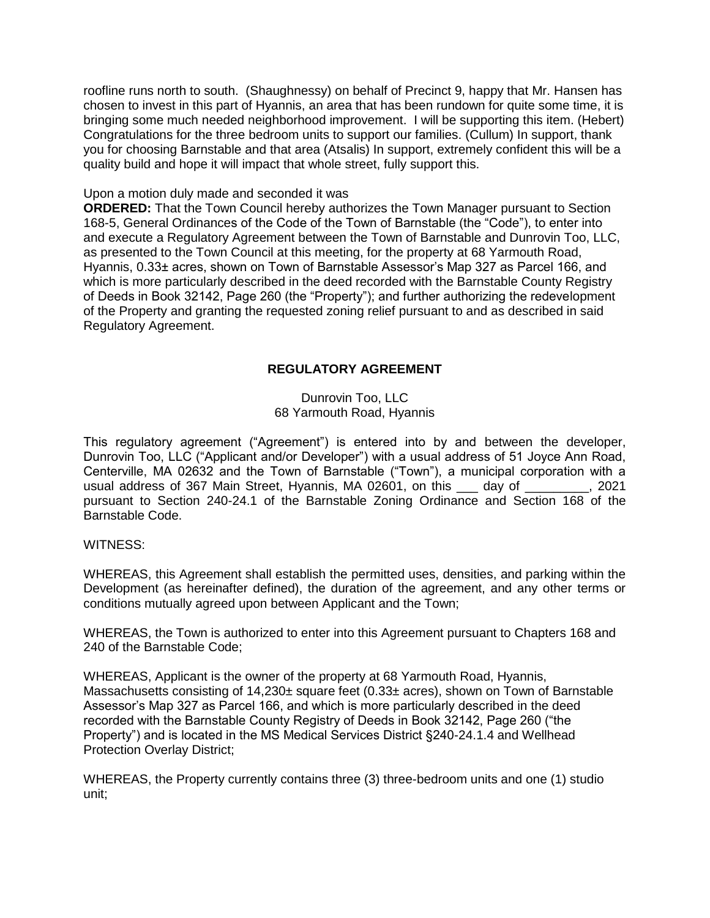roofline runs north to south. (Shaughnessy) on behalf of Precinct 9, happy that Mr. Hansen has chosen to invest in this part of Hyannis, an area that has been rundown for quite some time, it is bringing some much needed neighborhood improvement. I will be supporting this item. (Hebert) Congratulations for the three bedroom units to support our families. (Cullum) In support, thank you for choosing Barnstable and that area (Atsalis) In support, extremely confident this will be a quality build and hope it will impact that whole street, fully support this.

# Upon a motion duly made and seconded it was

**ORDERED:** That the Town Council hereby authorizes the Town Manager pursuant to Section 168-5, General Ordinances of the Code of the Town of Barnstable (the "Code"), to enter into and execute a Regulatory Agreement between the Town of Barnstable and Dunrovin Too, LLC, as presented to the Town Council at this meeting, for the property at 68 Yarmouth Road, Hyannis, 0.33± acres, shown on Town of Barnstable Assessor's Map 327 as Parcel 166, and which is more particularly described in the deed recorded with the Barnstable County Registry of Deeds in Book 32142, Page 260 (the "Property"); and further authorizing the redevelopment of the Property and granting the requested zoning relief pursuant to and as described in said Regulatory Agreement.

# **REGULATORY AGREEMENT**

# Dunrovin Too, LLC 68 Yarmouth Road, Hyannis

This regulatory agreement ("Agreement") is entered into by and between the developer, Dunrovin Too, LLC ("Applicant and/or Developer") with a usual address of 51 Joyce Ann Road, Centerville, MA 02632 and the Town of Barnstable ("Town"), a municipal corporation with a usual address of 367 Main Street, Hyannis, MA 02601, on this \_\_\_ day of \_\_\_\_\_\_\_\_\_, 2021 pursuant to Section 240-24.1 of the Barnstable Zoning Ordinance and Section 168 of the Barnstable Code.

# WITNESS:

WHEREAS, this Agreement shall establish the permitted uses, densities, and parking within the Development (as hereinafter defined), the duration of the agreement, and any other terms or conditions mutually agreed upon between Applicant and the Town;

WHEREAS, the Town is authorized to enter into this Agreement pursuant to Chapters 168 and 240 of the Barnstable Code;

WHEREAS, Applicant is the owner of the property at 68 Yarmouth Road, Hyannis, Massachusetts consisting of 14,230± square feet (0.33± acres), shown on Town of Barnstable Assessor's Map 327 as Parcel 166, and which is more particularly described in the deed recorded with the Barnstable County Registry of Deeds in Book 32142, Page 260 ("the Property") and is located in the MS Medical Services District §240-24.1.4 and Wellhead Protection Overlay District;

WHEREAS, the Property currently contains three (3) three-bedroom units and one (1) studio unit;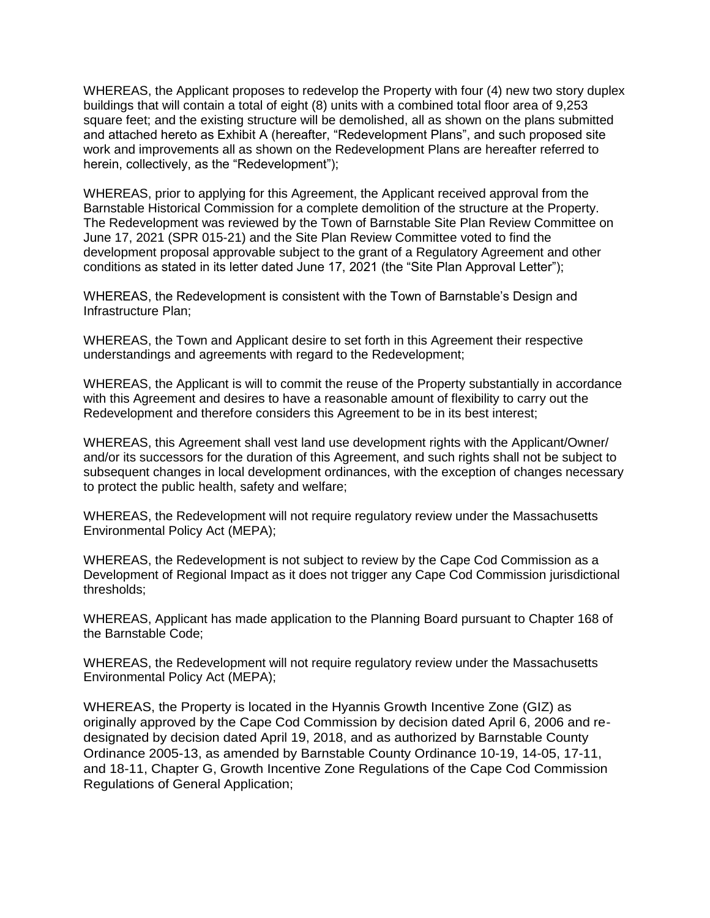WHEREAS, the Applicant proposes to redevelop the Property with four (4) new two story duplex buildings that will contain a total of eight (8) units with a combined total floor area of 9,253 square feet; and the existing structure will be demolished, all as shown on the plans submitted and attached hereto as Exhibit A (hereafter, "Redevelopment Plans", and such proposed site work and improvements all as shown on the Redevelopment Plans are hereafter referred to herein, collectively, as the "Redevelopment");

WHEREAS, prior to applying for this Agreement, the Applicant received approval from the Barnstable Historical Commission for a complete demolition of the structure at the Property. The Redevelopment was reviewed by the Town of Barnstable Site Plan Review Committee on June 17, 2021 (SPR 015-21) and the Site Plan Review Committee voted to find the development proposal approvable subject to the grant of a Regulatory Agreement and other conditions as stated in its letter dated June 17, 2021 (the "Site Plan Approval Letter");

WHEREAS, the Redevelopment is consistent with the Town of Barnstable's Design and Infrastructure Plan;

WHEREAS, the Town and Applicant desire to set forth in this Agreement their respective understandings and agreements with regard to the Redevelopment;

WHEREAS, the Applicant is will to commit the reuse of the Property substantially in accordance with this Agreement and desires to have a reasonable amount of flexibility to carry out the Redevelopment and therefore considers this Agreement to be in its best interest;

WHEREAS, this Agreement shall vest land use development rights with the Applicant/Owner/ and/or its successors for the duration of this Agreement, and such rights shall not be subject to subsequent changes in local development ordinances, with the exception of changes necessary to protect the public health, safety and welfare;

WHEREAS, the Redevelopment will not require regulatory review under the Massachusetts Environmental Policy Act (MEPA);

WHEREAS, the Redevelopment is not subject to review by the Cape Cod Commission as a Development of Regional Impact as it does not trigger any Cape Cod Commission jurisdictional thresholds;

WHEREAS, Applicant has made application to the Planning Board pursuant to Chapter 168 of the Barnstable Code;

WHEREAS, the Redevelopment will not require regulatory review under the Massachusetts Environmental Policy Act (MEPA);

WHEREAS, the Property is located in the Hyannis Growth Incentive Zone (GIZ) as originally approved by the Cape Cod Commission by decision dated April 6, 2006 and redesignated by decision dated April 19, 2018, and as authorized by Barnstable County Ordinance 2005-13, as amended by Barnstable County Ordinance 10-19, 14-05, 17-11, and 18-11, Chapter G, Growth Incentive Zone Regulations of the Cape Cod Commission Regulations of General Application;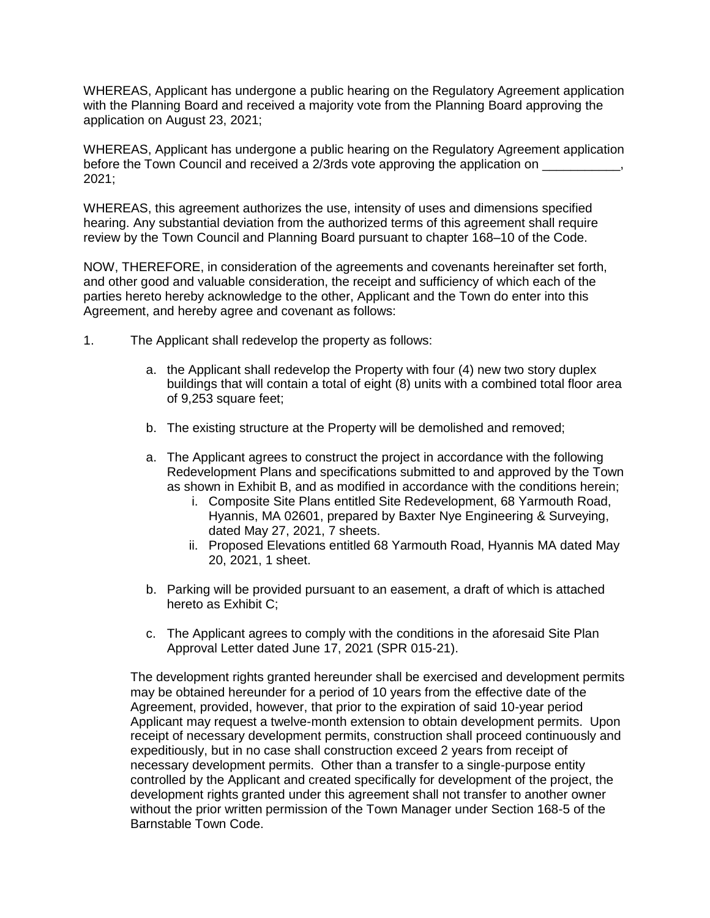WHEREAS, Applicant has undergone a public hearing on the Regulatory Agreement application with the Planning Board and received a majority vote from the Planning Board approving the application on August 23, 2021;

WHEREAS, Applicant has undergone a public hearing on the Regulatory Agreement application before the Town Council and received a 2/3rds vote approving the application on 2021;

WHEREAS, this agreement authorizes the use, intensity of uses and dimensions specified hearing. Any substantial deviation from the authorized terms of this agreement shall require review by the Town Council and Planning Board pursuant to chapter 168–10 of the Code.

NOW, THEREFORE, in consideration of the agreements and covenants hereinafter set forth, and other good and valuable consideration, the receipt and sufficiency of which each of the parties hereto hereby acknowledge to the other, Applicant and the Town do enter into this Agreement, and hereby agree and covenant as follows:

- 1. The Applicant shall redevelop the property as follows:
	- a. the Applicant shall redevelop the Property with four (4) new two story duplex buildings that will contain a total of eight (8) units with a combined total floor area of 9,253 square feet;
	- b. The existing structure at the Property will be demolished and removed;
	- a. The Applicant agrees to construct the project in accordance with the following Redevelopment Plans and specifications submitted to and approved by the Town as shown in Exhibit B, and as modified in accordance with the conditions herein;
		- i. Composite Site Plans entitled Site Redevelopment, 68 Yarmouth Road, Hyannis, MA 02601, prepared by Baxter Nye Engineering & Surveying, dated May 27, 2021, 7 sheets.
		- ii. Proposed Elevations entitled 68 Yarmouth Road, Hyannis MA dated May 20, 2021, 1 sheet.
	- b. Parking will be provided pursuant to an easement, a draft of which is attached hereto as Exhibit C;
	- c. The Applicant agrees to comply with the conditions in the aforesaid Site Plan Approval Letter dated June 17, 2021 (SPR 015-21).

The development rights granted hereunder shall be exercised and development permits may be obtained hereunder for a period of 10 years from the effective date of the Agreement, provided, however, that prior to the expiration of said 10-year period Applicant may request a twelve-month extension to obtain development permits. Upon receipt of necessary development permits, construction shall proceed continuously and expeditiously, but in no case shall construction exceed 2 years from receipt of necessary development permits. Other than a transfer to a single-purpose entity controlled by the Applicant and created specifically for development of the project, the development rights granted under this agreement shall not transfer to another owner without the prior written permission of the Town Manager under Section 168-5 of the Barnstable Town Code.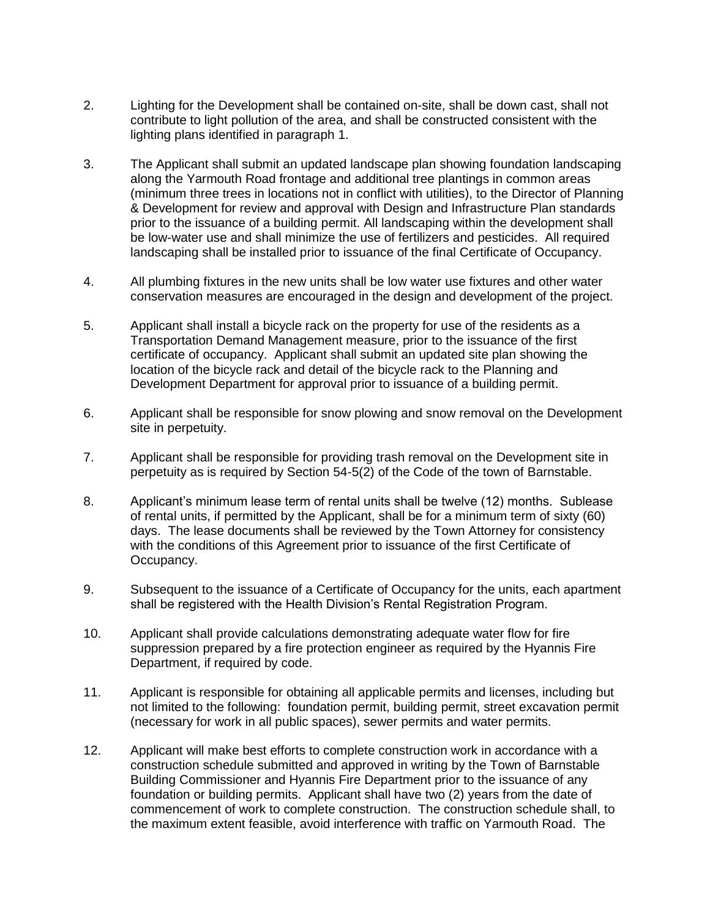- 2. Lighting for the Development shall be contained on-site, shall be down cast, shall not contribute to light pollution of the area, and shall be constructed consistent with the lighting plans identified in paragraph 1.
- 3. The Applicant shall submit an updated landscape plan showing foundation landscaping along the Yarmouth Road frontage and additional tree plantings in common areas (minimum three trees in locations not in conflict with utilities), to the Director of Planning & Development for review and approval with Design and Infrastructure Plan standards prior to the issuance of a building permit. All landscaping within the development shall be low-water use and shall minimize the use of fertilizers and pesticides. All required landscaping shall be installed prior to issuance of the final Certificate of Occupancy.
- 4. All plumbing fixtures in the new units shall be low water use fixtures and other water conservation measures are encouraged in the design and development of the project.
- 5. Applicant shall install a bicycle rack on the property for use of the residents as a Transportation Demand Management measure, prior to the issuance of the first certificate of occupancy. Applicant shall submit an updated site plan showing the location of the bicycle rack and detail of the bicycle rack to the Planning and Development Department for approval prior to issuance of a building permit.
- 6. Applicant shall be responsible for snow plowing and snow removal on the Development site in perpetuity.
- 7. Applicant shall be responsible for providing trash removal on the Development site in perpetuity as is required by Section 54-5(2) of the Code of the town of Barnstable.
- 8. Applicant's minimum lease term of rental units shall be twelve (12) months. Sublease of rental units, if permitted by the Applicant, shall be for a minimum term of sixty (60) days. The lease documents shall be reviewed by the Town Attorney for consistency with the conditions of this Agreement prior to issuance of the first Certificate of Occupancy.
- 9. Subsequent to the issuance of a Certificate of Occupancy for the units, each apartment shall be registered with the Health Division's Rental Registration Program.
- 10. Applicant shall provide calculations demonstrating adequate water flow for fire suppression prepared by a fire protection engineer as required by the Hyannis Fire Department, if required by code.
- 11. Applicant is responsible for obtaining all applicable permits and licenses, including but not limited to the following: foundation permit, building permit, street excavation permit (necessary for work in all public spaces), sewer permits and water permits.
- 12. Applicant will make best efforts to complete construction work in accordance with a construction schedule submitted and approved in writing by the Town of Barnstable Building Commissioner and Hyannis Fire Department prior to the issuance of any foundation or building permits. Applicant shall have two (2) years from the date of commencement of work to complete construction. The construction schedule shall, to the maximum extent feasible, avoid interference with traffic on Yarmouth Road. The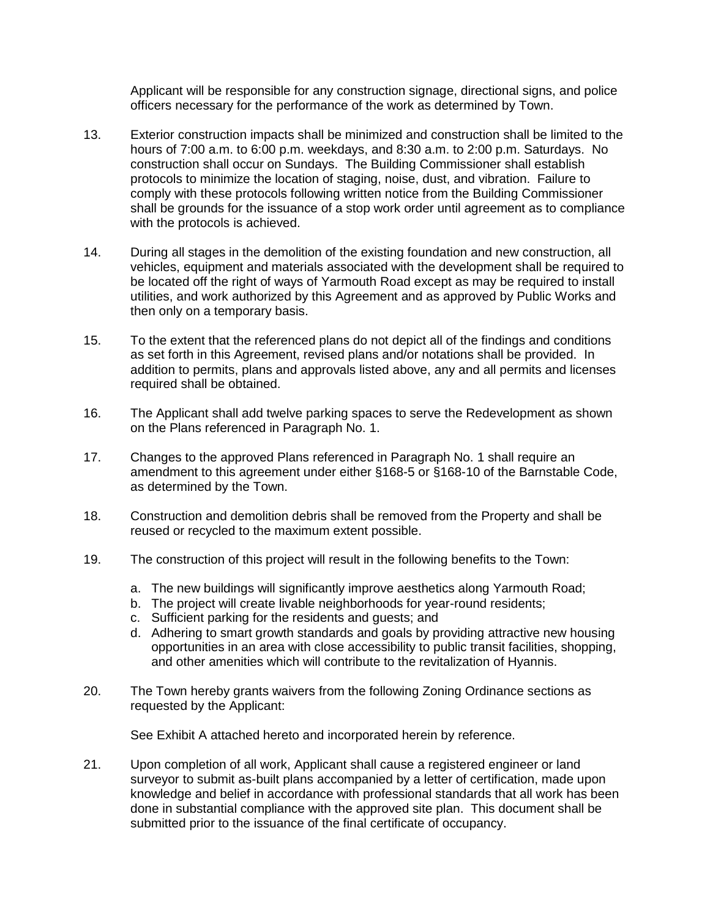Applicant will be responsible for any construction signage, directional signs, and police officers necessary for the performance of the work as determined by Town.

- 13. Exterior construction impacts shall be minimized and construction shall be limited to the hours of 7:00 a.m. to 6:00 p.m. weekdays, and 8:30 a.m. to 2:00 p.m. Saturdays. No construction shall occur on Sundays. The Building Commissioner shall establish protocols to minimize the location of staging, noise, dust, and vibration. Failure to comply with these protocols following written notice from the Building Commissioner shall be grounds for the issuance of a stop work order until agreement as to compliance with the protocols is achieved.
- 14. During all stages in the demolition of the existing foundation and new construction, all vehicles, equipment and materials associated with the development shall be required to be located off the right of ways of Yarmouth Road except as may be required to install utilities, and work authorized by this Agreement and as approved by Public Works and then only on a temporary basis.
- 15. To the extent that the referenced plans do not depict all of the findings and conditions as set forth in this Agreement, revised plans and/or notations shall be provided. In addition to permits, plans and approvals listed above, any and all permits and licenses required shall be obtained.
- 16. The Applicant shall add twelve parking spaces to serve the Redevelopment as shown on the Plans referenced in Paragraph No. 1.
- 17. Changes to the approved Plans referenced in Paragraph No. 1 shall require an amendment to this agreement under either §168-5 or §168-10 of the Barnstable Code, as determined by the Town.
- 18. Construction and demolition debris shall be removed from the Property and shall be reused or recycled to the maximum extent possible.
- 19. The construction of this project will result in the following benefits to the Town:
	- a. The new buildings will significantly improve aesthetics along Yarmouth Road;
	- b. The project will create livable neighborhoods for year-round residents;
	- c. Sufficient parking for the residents and guests; and
	- d. Adhering to smart growth standards and goals by providing attractive new housing opportunities in an area with close accessibility to public transit facilities, shopping, and other amenities which will contribute to the revitalization of Hyannis.
- 20. The Town hereby grants waivers from the following Zoning Ordinance sections as requested by the Applicant:

See Exhibit A attached hereto and incorporated herein by reference.

21. Upon completion of all work, Applicant shall cause a registered engineer or land surveyor to submit as-built plans accompanied by a letter of certification, made upon knowledge and belief in accordance with professional standards that all work has been done in substantial compliance with the approved site plan. This document shall be submitted prior to the issuance of the final certificate of occupancy.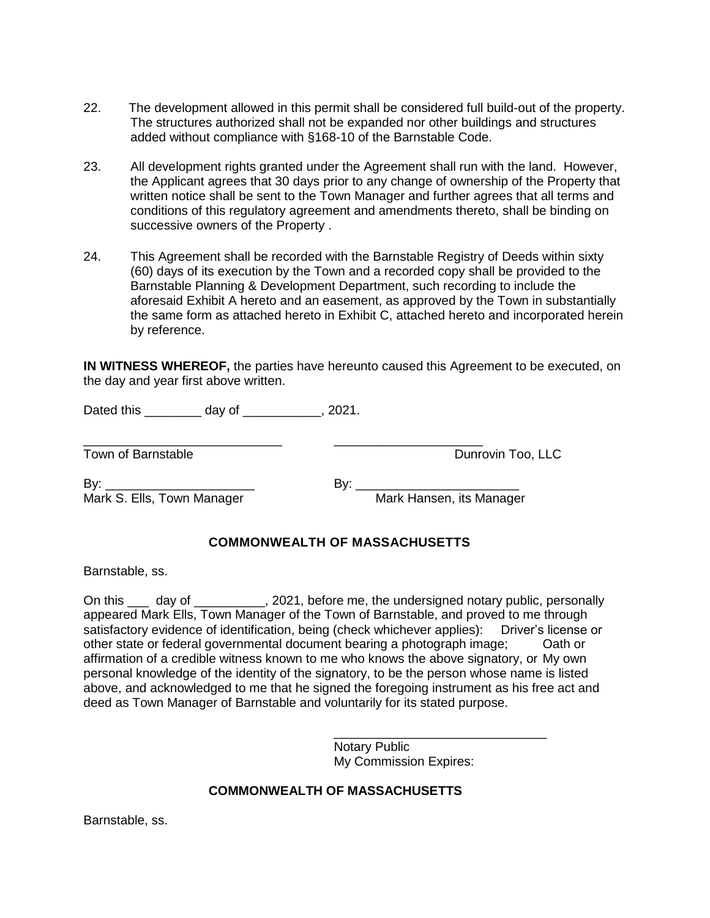- 22. The development allowed in this permit shall be considered full build-out of the property. The structures authorized shall not be expanded nor other buildings and structures added without compliance with §168-10 of the Barnstable Code.
- 23. All development rights granted under the Agreement shall run with the land. However, the Applicant agrees that 30 days prior to any change of ownership of the Property that written notice shall be sent to the Town Manager and further agrees that all terms and conditions of this regulatory agreement and amendments thereto, shall be binding on successive owners of the Property .
- 24. This Agreement shall be recorded with the Barnstable Registry of Deeds within sixty (60) days of its execution by the Town and a recorded copy shall be provided to the Barnstable Planning & Development Department, such recording to include the aforesaid Exhibit A hereto and an easement, as approved by the Town in substantially the same form as attached hereto in Exhibit C, attached hereto and incorporated herein by reference.

**IN WITNESS WHEREOF,** the parties have hereunto caused this Agreement to be executed, on the day and year first above written.

Dated this day of the set of the 2021.

\_\_\_\_\_\_\_\_\_\_\_\_\_\_\_\_\_\_\_\_\_\_\_\_\_\_\_\_ \_\_\_\_\_\_\_\_\_\_\_\_\_\_\_\_\_\_\_\_\_

Town of Barnstable **The Contract of Barnstable** Dunrovin Too, LLC

By: \_\_\_\_\_\_\_\_\_\_\_\_\_\_\_\_\_\_\_\_\_ By: \_\_\_\_\_\_\_\_\_\_\_\_\_\_\_\_\_\_\_\_\_\_\_ Mark S. Ells, Town Manager

# **COMMONWEALTH OF MASSACHUSETTS**

Barnstable, ss.

On this \_\_\_ day of \_\_\_\_\_\_\_\_\_\_, 2021, before me, the undersigned notary public, personally appeared Mark Ells, Town Manager of the Town of Barnstable, and proved to me through satisfactory evidence of identification, being (check whichever applies): Driver's license or other state or federal governmental document bearing a photograph image; Oath or affirmation of a credible witness known to me who knows the above signatory, or My own personal knowledge of the identity of the signatory, to be the person whose name is listed above, and acknowledged to me that he signed the foregoing instrument as his free act and deed as Town Manager of Barnstable and voluntarily for its stated purpose.

> Notary Public My Commission Expires:

\_\_\_\_\_\_\_\_\_\_\_\_\_\_\_\_\_\_\_\_\_\_\_\_\_\_\_\_\_\_

# **COMMONWEALTH OF MASSACHUSETTS**

Barnstable, ss.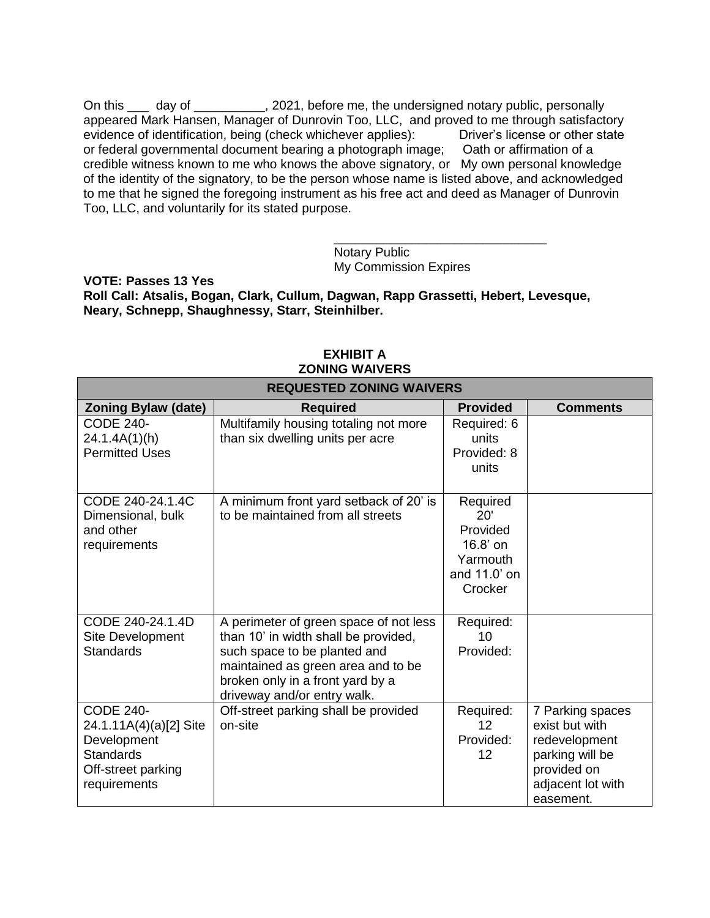On this \_\_\_ day of \_\_\_\_\_\_\_\_\_\_, 2021, before me, the undersigned notary public, personally appeared Mark Hansen, Manager of Dunrovin Too, LLC, and proved to me through satisfactory<br>evidence of identification, being (check whichever applies): Driver's license or other state evidence of identification, being (check whichever applies): or federal governmental document bearing a photograph image; Oath or affirmation of a credible witness known to me who knows the above signatory, or My own personal knowledge of the identity of the signatory, to be the person whose name is listed above, and acknowledged to me that he signed the foregoing instrument as his free act and deed as Manager of Dunrovin Too, LLC, and voluntarily for its stated purpose.

> \_\_\_\_\_\_\_\_\_\_\_\_\_\_\_\_\_\_\_\_\_\_\_\_\_\_\_\_\_\_ Notary Public My Commission Expires

**VOTE: Passes 13 Yes Roll Call: Atsalis, Bogan, Clark, Cullum, Dagwan, Rapp Grassetti, Hebert, Levesque, Neary, Schnepp, Shaughnessy, Starr, Steinhilber.**

| <b>REQUESTED ZONING WAIVERS</b>                                                                                     |                                                                                                                                                                                                                         |                                                                                  |                                                                                                                         |  |
|---------------------------------------------------------------------------------------------------------------------|-------------------------------------------------------------------------------------------------------------------------------------------------------------------------------------------------------------------------|----------------------------------------------------------------------------------|-------------------------------------------------------------------------------------------------------------------------|--|
| <b>Zoning Bylaw (date)</b>                                                                                          | <b>Required</b>                                                                                                                                                                                                         | <b>Provided</b>                                                                  | <b>Comments</b>                                                                                                         |  |
| <b>CODE 240-</b><br>24.1.4A(1)(h)<br><b>Permitted Uses</b>                                                          | Multifamily housing totaling not more<br>than six dwelling units per acre                                                                                                                                               | Required: 6<br>units<br>Provided: 8<br>units                                     |                                                                                                                         |  |
| CODE 240-24.1.4C<br>Dimensional, bulk<br>and other<br>requirements                                                  | A minimum front yard setback of 20' is<br>to be maintained from all streets                                                                                                                                             | Required<br>20'<br>Provided<br>$16.8'$ on<br>Yarmouth<br>and 11.0' on<br>Crocker |                                                                                                                         |  |
| CODE 240-24.1.4D<br>Site Development<br><b>Standards</b>                                                            | A perimeter of green space of not less<br>than 10' in width shall be provided,<br>such space to be planted and<br>maintained as green area and to be<br>broken only in a front yard by a<br>driveway and/or entry walk. | Required:<br>10<br>Provided:                                                     |                                                                                                                         |  |
| <b>CODE 240-</b><br>24.1.11A(4)(a)[2] Site<br>Development<br><b>Standards</b><br>Off-street parking<br>requirements | Off-street parking shall be provided<br>on-site                                                                                                                                                                         | Required:<br>12 <sup>°</sup><br>Provided:<br>12                                  | 7 Parking spaces<br>exist but with<br>redevelopment<br>parking will be<br>provided on<br>adjacent lot with<br>easement. |  |

**EXHIBIT A ZONING WAIVERS**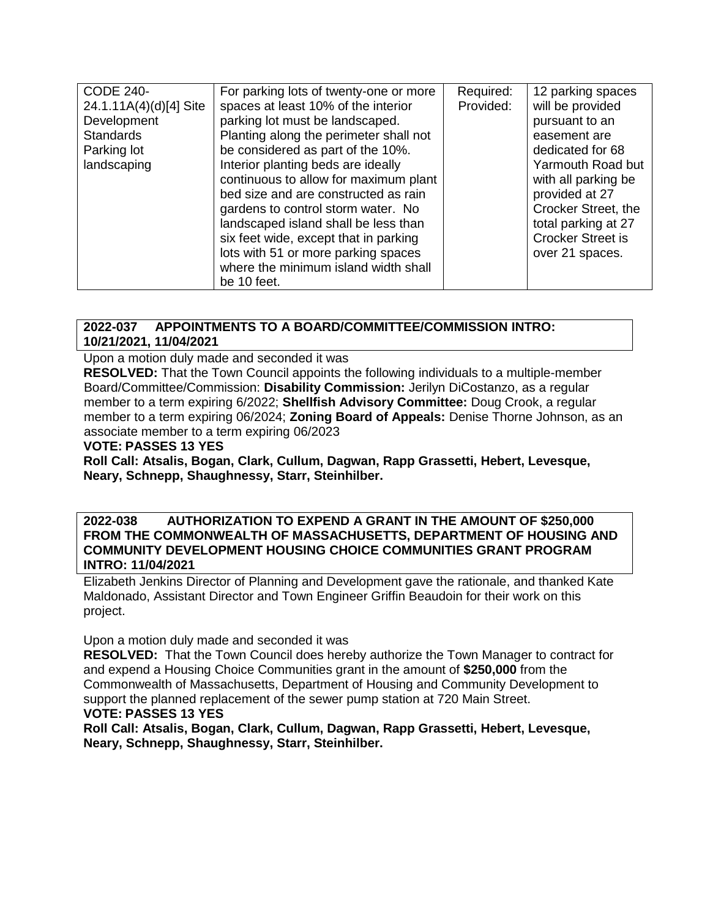| <b>CODE 240-</b>       | For parking lots of twenty-one or more | Required: | 12 parking spaces        |
|------------------------|----------------------------------------|-----------|--------------------------|
| 24.1.11A(4)(d)[4] Site | spaces at least 10% of the interior    | Provided: | will be provided         |
| Development            | parking lot must be landscaped.        |           | pursuant to an           |
| <b>Standards</b>       | Planting along the perimeter shall not |           | easement are             |
| Parking lot            | be considered as part of the 10%.      |           | dedicated for 68         |
| landscaping            | Interior planting beds are ideally     |           | Yarmouth Road but        |
|                        | continuous to allow for maximum plant  |           | with all parking be      |
|                        | bed size and are constructed as rain   |           | provided at 27           |
|                        | gardens to control storm water. No     |           | Crocker Street, the      |
|                        | landscaped island shall be less than   |           | total parking at 27      |
|                        | six feet wide, except that in parking  |           | <b>Crocker Street is</b> |
|                        | lots with 51 or more parking spaces    |           | over 21 spaces.          |
|                        | where the minimum island width shall   |           |                          |
|                        | be 10 feet.                            |           |                          |

# **2022-037 APPOINTMENTS TO A BOARD/COMMITTEE/COMMISSION INTRO: 10/21/2021, 11/04/2021**

Upon a motion duly made and seconded it was

**RESOLVED:** That the Town Council appoints the following individuals to a multiple-member Board/Committee/Commission: **Disability Commission:** Jerilyn DiCostanzo, as a regular member to a term expiring 6/2022; **Shellfish Advisory Committee:** Doug Crook, a regular member to a term expiring 06/2024; **Zoning Board of Appeals:** Denise Thorne Johnson, as an associate member to a term expiring 06/2023

## **VOTE: PASSES 13 YES**

**Roll Call: Atsalis, Bogan, Clark, Cullum, Dagwan, Rapp Grassetti, Hebert, Levesque, Neary, Schnepp, Shaughnessy, Starr, Steinhilber.**

## **2022-038 AUTHORIZATION TO EXPEND A GRANT IN THE AMOUNT OF \$250,000 FROM THE COMMONWEALTH OF MASSACHUSETTS, DEPARTMENT OF HOUSING AND COMMUNITY DEVELOPMENT HOUSING CHOICE COMMUNITIES GRANT PROGRAM INTRO: 11/04/2021**

Elizabeth Jenkins Director of Planning and Development gave the rationale, and thanked Kate Maldonado, Assistant Director and Town Engineer Griffin Beaudoin for their work on this project.

Upon a motion duly made and seconded it was

**RESOLVED:** That the Town Council does hereby authorize the Town Manager to contract for and expend a Housing Choice Communities grant in the amount of **\$250,000** from the Commonwealth of Massachusetts, Department of Housing and Community Development to support the planned replacement of the sewer pump station at 720 Main Street.

# **VOTE: PASSES 13 YES**

**Roll Call: Atsalis, Bogan, Clark, Cullum, Dagwan, Rapp Grassetti, Hebert, Levesque, Neary, Schnepp, Shaughnessy, Starr, Steinhilber.**